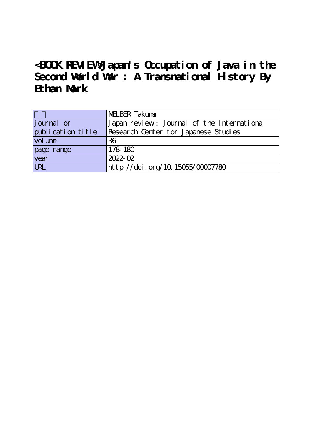**<BOOK REVIEW>Japan's Occupation of Java in the Second World War : A Transnational History By Ethan Mark**

|                   | MELBER Takuna                              |
|-------------------|--------------------------------------------|
| journal or        | Japan review: Journal of the International |
| publication title | Research Center for Japanese Studies       |
| vol une           | 36                                         |
| page range        | 178-180                                    |
| year              | $2022 - 02$                                |
| URL               | http://doi.org/10.15055/00007780           |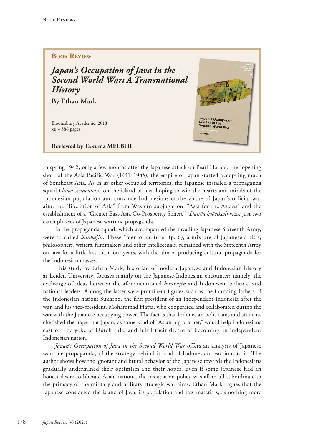## **Book Review**

*Japan's Occupation of Java in the Second World War: A Transnational History*

**By Ethan Mark**

Bloomsbury Academic, 2018 xii + 386 pages.

**Reviewed by Takuma MELBER**



In spring 1942, only a few months after the Japanese attack on Pearl Harbor, the "opening shot" of the Asia-Pacific War (1941–1945), the empire of Japan started occupying much of Southeast Asia. As in its other occupied territories, the Japanese installed a propaganda squad (*Jawa sendenhan*) on the island of Java hoping to win the hearts and minds of the Indonesian population and convince Indonesians of the virtue of Japan's official war aim, the "liberation of Asia" from Western subjugation. "Asia for the Asians" and the establishment of a "Greater East-Asia Co-Prosperity Sphere" (*Daitōa kyōeiken*) were just two catch phrases of Japanese wartime propaganda.

In the propaganda squad, which accompanied the invading Japanese Sixteenth Army, were so-called *bunkajin*. These "men of culture" (p. 6), a mixture of Japanese artists, philosophers, writers, flmmakers and other intellectuals, remained with the Sixteenth Army on Java for a little less than four years, with the aim of producing cultural propaganda for the Indonesian masses.

This study by Ethan Mark, historian of modern Japanese and Indonesian history at Leiden University, focuses mainly on the Japanese-Indonesian encounter: namely, the exchange of ideas between the aforementioned *bunkajin* and Indonesian political and national leaders. Among the latter were prominent fgures such as the founding fathers of the Indonesian nation: Sukarno, the frst president of an independent Indonesia after the war, and his vice-president, Mohammad Hatta, who cooperated and collaborated during the war with the Japanese occupying power. The fact is that Indonesian politicians and students cherished the hope that Japan, as some kind of "Asian big brother," would help Indonesians cast off the yoke of Dutch rule, and fulfil their dream of becoming an independent Indonesian nation.

*Japan's Occupation of Java in the Second World War* offers an analysis of Japanese wartime propaganda, of the strategy behind it, and of Indonesian reactions to it. The author shows how the ignorant and brutal behavior of the Japanese towards the Indonesians gradually undermined their optimism and their hopes. Even if some Japanese had an honest desire to liberate Asian nations, the occupation policy was all in all subordinate to the primacy of the military and military-strategic war aims. Ethan Mark argues that the Japanese considered the island of Java, its population and raw materials, as nothing more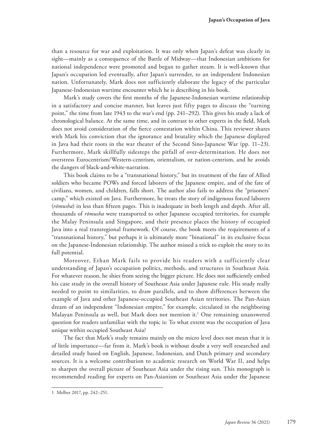than a resource for war and exploitation. It was only when Japan's defeat was clearly in sight—mainly as a consequence of the Battle of Midway—that Indonesian ambitions for national independence were promoted and began to gather steam. It is well-known that Japan's occupation led eventually, after Japan's surrender, to an independent Indonesian nation. Unfortunately, Mark does not sufficiently elaborate the legacy of the particular Japanese-Indonesian wartime encounter which he is describing in his book.

Mark's study covers the frst months of the Japanese-Indonesian wartime relationship in a satisfactory and concise manner, but leaves just fifty pages to discuss the "turning point," the time from late 1943 to the war's end (pp. 241–292). This gives his study a lack of chronological balance. At the same time, and in contrast to other experts in the feld, Mark does not avoid consideration of the ferce contestation within China. This reviewer shares with Mark his conviction that the ignorance and brutality which the Japanese displayed in Java had their roots in the war theater of the Second Sino-Japanese War (pp. 11–23). Furthermore, Mark skillfully sidesteps the pitfall of over-determination. He does not overstress Eurocentrism/Western-centrism, orientalism, or nation-centrism, and he avoids the dangers of black-and-white-narration.

This book claims to be a "transnational history," but its treatment of the fate of Allied soldiers who became POWs and forced laborers of the Japanese empire, and of the fate of civilians, women, and children, falls short. The author also fails to address the "prisoners' camp," which existed on Java. Furthermore, he treats the story of indigenous forced laborers (*rōmusha*) in less than ffteen pages. This is inadequate in both length and depth. After all, thousands of *rōmusha* were transported to other Japanese occupied territories, for example the Malay Peninsula and Singapore, and their presence places the history of occupied Java into a real transregional framework. Of course, the book meets the requirements of a "transnational history," but perhaps it is ultimately more "binational" in its exclusive focus on the Japanese-Indonesian relationship. The author missed a trick to exploit the story to its full potential.

Moreover, Ethan Mark fails to provide his readers with a sufficiently clear understanding of Japan's occupation politics, methods, and structures in Southeast Asia. For whatever reason, he shies from seeing the bigger picture. He does not sufficiently embed his case study in the overall history of Southeast Asia under Japanese rule. His study really needed to point to similarities, to draw parallels, and to show differences between the example of Java and other Japanese-occupied Southeast Asian territories. The Pan-Asian dream of an independent "Indonesian empire," for example, circulated in the neighboring Malayan Peninsula as well, but Mark does not mention it.<sup>1</sup> One remaining unanswered question for readers unfamiliar with the topic is: To what extent was the occupation of Java unique within occupied Southeast Asia?

The fact that Mark's study remains mainly on the micro level does not mean that it is of little importance—far from it. Mark's book is without doubt a very well researched and detailed study based on English, Japanese, Indonesian, and Dutch primary and secondary sources. It is a welcome contribution to academic research on World War II, and helps to sharpen the overall picture of Southeast Asia under the rising sun. This monograph is recommended reading for experts on Pan-Asianism or Southeast Asia under the Japanese

<sup>1</sup> Melber 2017, pp. 242–251.